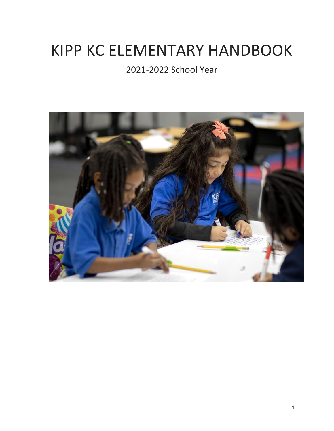# KIPP KC ELEMENTARY HANDBOOK

# 2021-2022 School Year

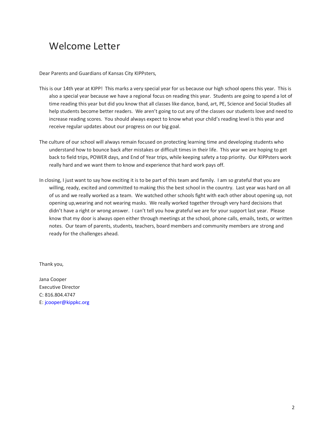# Welcome Letter

Dear Parents and Guardians of Kansas City KIPPsters,

- This is our 14th year at KIPP! This marks a very special year for us because our high school opens this year. This is also a special year because we have a regional focus on reading this year. Students are going to spend a lot of time reading this year but did you know that all classes like dance, band, art, PE, Science and Social Studies all help students become better readers. We aren't going to cut any of the classes our students love and need to increase reading scores. You should always expect to know what your child's reading level is this year and receive regular updates about our progress on our big goal.
- The culture of our school will always remain focused on protecting learning time and developing students who understand how to bounce back after mistakes or difficult times in their life. This year we are hoping to get back to field trips, POWER days, and End of Year trips, while keeping safety a top priority. Our KIPPsters work really hard and we want them to know and experience that hard work pays off.
- In closing, I just want to say how exciting it is to be part of this team and family. I am so grateful that you are willing, ready, excited and committed to making this the best school in the country. Last year was hard on all of us and we really worked as a team. We watched other schools fight with each other about opening up, not opening up,wearing and not wearing masks. We really worked together through very hard decisions that didn't have a right or wrong answer. I can't tell you how grateful we are for your support last year. Please know that my door is always open either through meetings at the school, phone calls, emails, texts, or written notes. Our team of parents, students, teachers, board members and community members are strong and ready for the challenges ahead.

Thank you,

Jana Cooper Executive Director C: 816.804.4747 E: jcooper@kippkc.org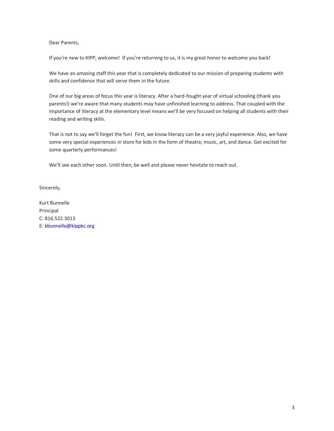Dear Parents,

If you're new to KIPP, welcome! If you're returning to us, it is my great honor to welcome you back!

We have an amazing staff this year that is completely dedicated to our mission of preparing students with skills and confidence that will serve them in the future.

One of our big areas of focus this year is literacy. After a hard-fought year of virtual schooling (thank you parents!) we're aware that many students may have unfinished learning to address. That coupled with the importance of literacy at the elementary level means we'll be very focused on helping all students with their reading and writing skills.

That is not to say we'll forget the fun! First, we know literacy can be a very joyful experience. Also, we have some very special experiences in store for kids in the form of theatre, music, art, and dance. Get excited for some quarterly performances!

We'll see each other soon. Until then, be well and please never hesitate to reach out.

Sincerely,

Kurt Bunnelle Principal C: 816.522.3013 E: kbunnelle@kippkc.org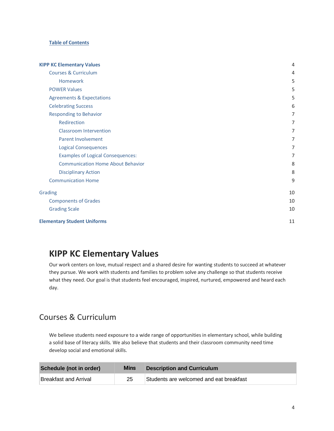### **Table of Contents**

| <b>KIPP KC Elementary Values</b>         | 4  |
|------------------------------------------|----|
| <b>Courses &amp; Curriculum</b>          | 4  |
| Homework                                 | 5  |
| <b>POWER Values</b>                      | 5  |
| <b>Agreements &amp; Expectations</b>     | 5  |
| <b>Celebrating Success</b>               | 6  |
| <b>Responding to Behavior</b>            | 7  |
| Redirection                              | 7  |
| <b>Classroom Intervention</b>            | 7  |
| <b>Parent Involvement</b>                | 7  |
| <b>Logical Consequences</b>              | 7  |
| <b>Examples of Logical Consequences:</b> | 7  |
| <b>Communication Home About Behavior</b> | 8  |
| <b>Disciplinary Action</b>               | 8  |
| <b>Communication Home</b>                | 9  |
| Grading                                  | 10 |
| <b>Components of Grades</b>              | 10 |
| <b>Grading Scale</b>                     | 10 |
| <b>Elementary Student Uniforms</b>       | 11 |

# <span id="page-3-0"></span>**KIPP KC Elementary Values**

Our work centers on love, mutual respect and a shared desire for wanting students to succeed at whatever they pursue. We work with students and families to problem solve any challenge so that students receive what they need. Our goal is that students feel encouraged, inspired, nurtured, empowered and heard each day.

### <span id="page-3-1"></span>Courses & Curriculum

We believe students need exposure to a wide range of opportunities in elementary school, while building a solid base of literacy skills. We also believe that students and their classroom community need time develop social and emotional skills.

| Schedule (not in order) | Mins | <b>Description and Curriculum</b>       |
|-------------------------|------|-----------------------------------------|
| Breakfast and Arrival   | 25   | Students are welcomed and eat breakfast |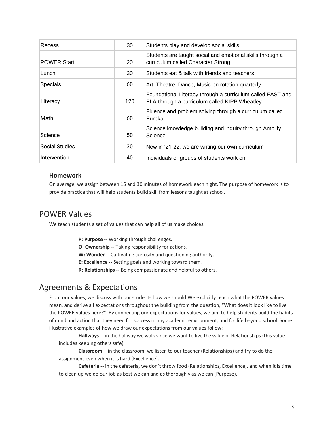| Recess                | 30  | Students play and develop social skills                                                                     |
|-----------------------|-----|-------------------------------------------------------------------------------------------------------------|
| <b>POWER Start</b>    | 20  | Students are taught social and emotional skills through a<br>curriculum called Character Strong             |
| Lunch                 | 30  | Students eat & talk with friends and teachers                                                               |
| <b>Specials</b>       | 60  | Art, Theatre, Dance, Music on rotation quarterly                                                            |
| Literacy              | 120 | Foundational Literacy through a curriculum called FAST and<br>ELA through a curriculum called KIPP Wheatley |
| Math                  | 60  | Fluence and problem solving through a curriculum called<br>Eureka                                           |
| Science               | 50  | Science knowledge building and inquiry through Amplify<br>Science                                           |
| <b>Social Studies</b> | 30  | New in '21-22, we are writing our own curriculum                                                            |
| Intervention          | 40  | Individuals or groups of students work on                                                                   |

### <span id="page-4-0"></span>**Homework**

On average, we assign between 15 and 30 minutes of homework each night. The purpose of homework is to provide practice that will help students build skill from lessons taught at school.

### <span id="page-4-1"></span>POWER Values

We teach students a set of values that can help all of us make choices.

**P: Purpose --** Working through challenges.

**O: Ownership --** Taking responsibility for actions*.*

**W: Wonder --** Cultivating curiosity and questioning authority.

**E: Excellence --** Setting goals and working toward them.

**R: Relationships --** Being compassionate and helpful to others.

### <span id="page-4-2"></span>Agreements & Expectations

From our values, we discuss with our students how we should We explicitly teach what the POWER values mean, and derive all expectations throughout the building from the question, "What does it look like to live the POWER values here?" By connecting our expectations for values, we aim to help students build the habits of mind and action that they need for success in any academic environment, and for life beyond school. Some illustrative examples of how we draw our expectations from our values follow:

**Hallways** -- in the hallway we walk since we want to live the value of Relationships (this value includes keeping others safe).

**Classroom** -- in the classroom, we listen to our teacher (Relationships) and try to do the assignment even when it is hard (Excellence).

**Cafeteria** -- in the cafeteria, we don't throw food (Relationships, Excellence), and when it is time to clean up we do our job as best we can and as thoroughly as we can (Purpose).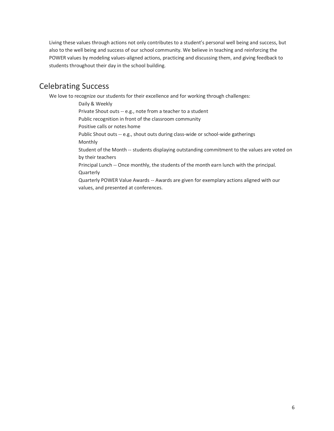Living these values through actions not only contributes to a student's personal well being and success, but also to the well being and success of our school community. We believe in teaching and reinforcing the POWER values by modeling values-aligned actions, practicing and discussing them, and giving feedback to students throughout their day in the school building.

### <span id="page-5-0"></span>Celebrating Success

We love to recognize our students for their excellence and for working through challenges:

Daily & Weekly Private Shout outs -- e.g., note from a teacher to a student Public recognition in front of the classroom community Positive calls or notes home Public Shout outs -- e.g., shout outs during class-wide or school-wide gatherings Monthly Student of the Month -- students displaying outstanding commitment to the values are voted on by their teachers Principal Lunch -- Once monthly, the students of the month earn lunch with the principal. Quarterly Quarterly POWER Value Awards -- Awards are given for exemplary actions aligned with our values, and presented at conferences.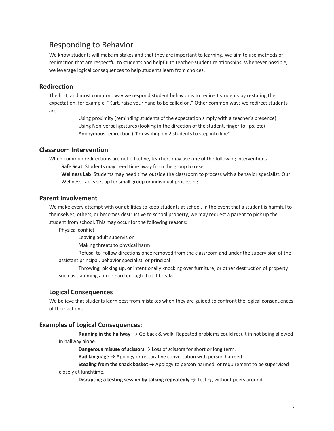### <span id="page-6-0"></span>Responding to Behavior

We know students will make mistakes and that they are important to learning. We aim to use methods of redirection that are respectful to students and helpful to teacher-student relationships. Whenever possible, we leverage logical consequences to help students learn from choices.

### <span id="page-6-1"></span>**Redirection**

The first, and most common, way we respond student behavior is to redirect students by restating the expectation, for example, "Kurt, raise your hand to be called on." Other common ways we redirect students are

> Using proximity (reminding students of the expectation simply with a teacher's presence) Using Non-verbal gestures (looking in the direction of the student, finger to lips, etc) Anonymous redirection ("I'm waiting on 2 students to step into line")

### <span id="page-6-2"></span>**Classroom Intervention**

When common redirections are not effective, teachers may use one of the following interventions.

**Safe Seat**: Students may need time away from the group to reset.

**Wellness Lab**: Students may need time outside the classroom to process with a behavior specialist. Our Wellness Lab is set up for small group or individual processing.

### <span id="page-6-3"></span>**Parent Involvement**

We make every attempt with our abilities to keep students at school. In the event that a student is harmful to themselves, others, or becomes destructive to school property, we may request a parent to pick up the student from school. This may occur for the following reasons:

Physical conflict

Leaving adult supervision

Making threats to physical harm

Refusal to follow directions once removed from the classroom and under the supervision of the assistant principal, behavior specialist, or principal

Throwing, picking up, or intentionally knocking over furniture, or other destruction of property such as slamming a door hard enough that it breaks

### <span id="page-6-4"></span>**Logical Consequences**

We believe that students learn best from mistakes when they are guided to confront the logical consequences of their actions.

### <span id="page-6-5"></span>**Examples of Logical Consequences:**

**Running in the hallway**  $\rightarrow$  Go back & walk. Repeated problems could result in not being allowed in hallway alone.

**Dangerous misuse of scissors**  $\rightarrow$  Loss of scissors for short or long term.

**Bad language**  $\rightarrow$  Apology or restorative conversation with person harmed.

**Stealing from the snack basket** → Apology to person harmed, or requirement to be supervised closely at lunchtime.

**Disrupting a testing session by talking repeatedly**  $\rightarrow$  Testing without peers around.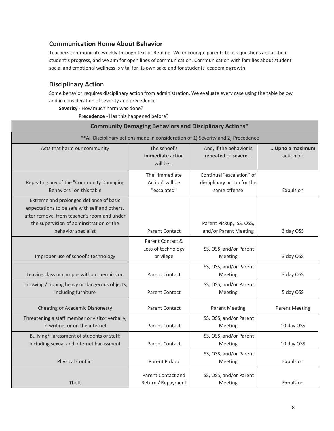### <span id="page-7-0"></span>**Communication Home About Behavior**

Teachers communicate weekly through text or Remind. We encourage parents to ask questions about their student's progress, and we aim for open lines of communication. Communication with families about student social and emotional wellness is vital for its own sake and for students' academic growth.

### <span id="page-7-1"></span>**Disciplinary Action**

Some behavior requires disciplinary action from administration. We evaluate every case using the table below and in consideration of severity and precedence.

**Severity** - How much harm was done?

**Precedence** - Has this happened before?

| <b>Community Damaging Behaviors and Disciplinary Actions*</b>                                                                                                                                              |                                                     |                                                                                    |                               |
|------------------------------------------------------------------------------------------------------------------------------------------------------------------------------------------------------------|-----------------------------------------------------|------------------------------------------------------------------------------------|-------------------------------|
|                                                                                                                                                                                                            |                                                     | ** All Disciplinary actions made in consideration of 1) Severity and 2) Precedence |                               |
| Acts that harm our community                                                                                                                                                                               | The school's<br>immediate action<br>will be         | And, if the behavior is<br>repeated or severe                                      | Up to a maximum<br>action of: |
| Repeating any of the "Community Damaging<br>Behaviors" on this table                                                                                                                                       | The "Immediate<br>Action" will be<br>"escalated"    | Continual "escalation" of<br>disciplinary action for the<br>same offense           | Expulsion                     |
| Extreme and prolonged defiance of basic<br>expectations to be safe with self and others,<br>after removal from teacher's room and under<br>the supervision of adminsitration or the<br>behavior specialist | <b>Parent Contact</b>                               | Parent Pickup, ISS, OSS,<br>and/or Parent Meeting                                  | 3 day OSS                     |
| Improper use of school's technology                                                                                                                                                                        | Parent Contact &<br>Loss of technology<br>privilege | ISS, OSS, and/or Parent<br>Meeting                                                 | 3 day OSS                     |
| Leaving class or campus without permission                                                                                                                                                                 | <b>Parent Contact</b>                               | ISS, OSS, and/or Parent<br>Meeting                                                 | 3 day OSS                     |
| Throwing / tipping heavy or dangerous objects,<br>including furniture                                                                                                                                      | <b>Parent Contact</b>                               | ISS, OSS, and/or Parent<br>Meeting                                                 | 5 day OSS                     |
| Cheating or Academic Dishonesty                                                                                                                                                                            | <b>Parent Contact</b>                               | <b>Parent Meeting</b>                                                              | <b>Parent Meeting</b>         |
| Threatening a staff member or visitor verbally,<br>in writing, or on the internet                                                                                                                          | <b>Parent Contact</b>                               | ISS, OSS, and/or Parent<br>Meeting                                                 | 10 day OSS                    |
| Bullying/Harassment of students or staff;<br>including sexual and internet harassment                                                                                                                      | <b>Parent Contact</b>                               | ISS, OSS, and/or Parent<br>Meeting                                                 | 10 day OSS                    |
| <b>Physical Conflict</b>                                                                                                                                                                                   | Parent Pickup                                       | ISS, OSS, and/or Parent<br>Meeting                                                 | Expulsion                     |
| <b>Theft</b>                                                                                                                                                                                               | <b>Parent Contact and</b><br>Return / Repayment     | ISS, OSS, and/or Parent<br>Meeting                                                 | Expulsion                     |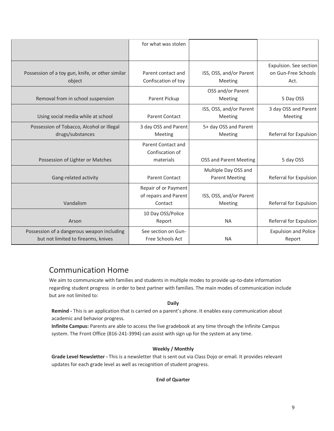|                                                                                   | for what was stolen                                      |                                               |                                                       |
|-----------------------------------------------------------------------------------|----------------------------------------------------------|-----------------------------------------------|-------------------------------------------------------|
|                                                                                   |                                                          |                                               |                                                       |
| Possession of a toy gun, knife, or other similar<br>object                        | Parent contact and<br>Confiscation of toy                | ISS, OSS, and/or Parent<br>Meeting            | Expulsion. See section<br>on Gun-Free Schools<br>Act. |
| Removal from in school suspension                                                 | Parent Pickup                                            | OSS and/or Parent<br>Meeting                  | 5 Day OSS                                             |
| Using social media while at school                                                | <b>Parent Contact</b>                                    | ISS, OSS, and/or Parent<br>Meeting            | 3 day OSS and Parent<br>Meeting                       |
| Possession of Tobacco, Alcohol or Illegal<br>drugs/substances                     | 3 day OSS and Parent<br>Meeting                          | 5+ day OSS and Parent<br>Meeting              | Referral for Expulsion                                |
|                                                                                   | Parent Contact and<br>Confiscation of                    |                                               |                                                       |
| Possession of Lighter or Matches                                                  | materials                                                | <b>OSS and Parent Meeting</b>                 | 5 day OSS                                             |
| Gang-related activity                                                             | <b>Parent Contact</b>                                    | Multiple Day OSS and<br><b>Parent Meeting</b> | Referral for Expulsion                                |
| Vandalism                                                                         | Repair of or Payment<br>of repairs and Parent<br>Contact | ISS, OSS, and/or Parent<br>Meeting            | Referral for Expulsion                                |
| Arson                                                                             | 10 Day OSS/Police<br>Report                              | <b>NA</b>                                     | Referral for Expulsion                                |
| Possession of a dangerous weapon including<br>but not limited to firearms, knives | See section on Gun-<br>Free Schools Act                  | <b>NA</b>                                     | <b>Expulsion and Police</b><br>Report                 |

### <span id="page-8-0"></span>Communication Home

We aim to communicate with families and students in multiple modes to provide up-to-date information regarding student progress in order to best partner with families. The main modes of communication include but are not limited to:

### **Daily**

**Remind -** This is an application that is carried on a parent's phone. It enables easy communication about academic and behavior progress.

**Infinite Campus:** Parents are able to access the live gradebook at any time through the Infinite Campus system. The Front Office (816-241-3994) can assist with sign up for the system at any time.

### **Weekly / Monthly**

**Grade Level Newsletter -** This is a newsletter that is sent out via Class Dojo or email. It provides relevant updates for each grade level as well as recognition of student progress.

### **End of Quarter**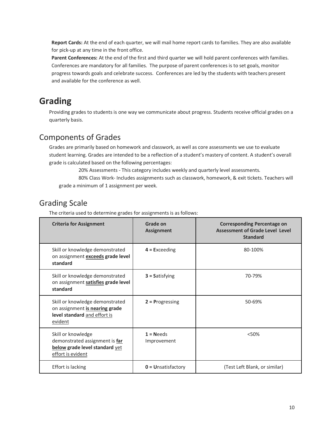**Report Cards:** At the end of each quarter, we will mail home report cards to families. They are also available for pick-up at any time in the front office.

**Parent Conferences:** At the end of the first and third quarter we will hold parent conferences with families. Conferences are mandatory for all families. The purpose of parent conferences is to set goals, monitor progress towards goals and celebrate success. Conferences are led by the students with teachers present and available for the conference as well.

# <span id="page-9-0"></span>**Grading**

Providing grades to students is one way we communicate about progress. Students receive official grades on a quarterly basis.

# <span id="page-9-1"></span>Components of Grades

Grades are primarily based on homework and classwork, as well as core assessments we use to evaluate student learning. Grades are intended to be a reflection of a student's mastery of content. A student's overall grade is calculated based on the following percentages:

20% Assessments - This category includes weekly and quarterly level assessments.

80% Class Work- Includes assignments such as classwork, homework, & exit tickets. Teachers will grade a minimum of 1 assignment per week.

## <span id="page-9-2"></span>Grading Scale

The criteria used to determine grades for assignments is as follows:

| <b>Criteria for Assignment</b>                                                                               | Grade on<br><b>Assignment</b> | <b>Corresponding Percentage on</b><br><b>Assessment of Grade Level Level</b><br><b>Standard</b> |
|--------------------------------------------------------------------------------------------------------------|-------------------------------|-------------------------------------------------------------------------------------------------|
| Skill or knowledge demonstrated<br>on assignment exceeds grade level<br>standard                             | $4 = Exceeding$               | 80-100%                                                                                         |
| Skill or knowledge demonstrated<br>on assignment satisfies grade level<br>standard                           | $3 = Satisfying$              | 70-79%                                                                                          |
| Skill or knowledge demonstrated<br>on assignment is nearing grade<br>level standard and effort is<br>evident | $2$ = Progressing             | 50-69%                                                                                          |
| Skill or knowledge<br>demonstrated assignment is far<br>below grade level standard yet<br>effort is evident  | $1 =$ Needs<br>Improvement    | < 50%                                                                                           |
| Effort is lacking                                                                                            | $0 =$ Unsatisfactory          | (Test Left Blank, or similar)                                                                   |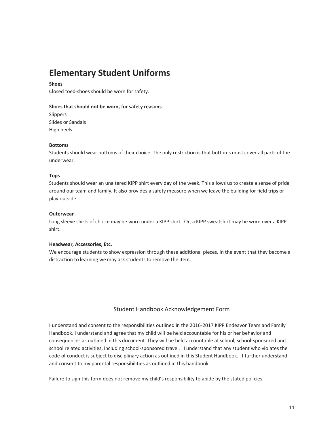# <span id="page-10-0"></span>**Elementary Student Uniforms**

#### **Shoes**

Closed toed-shoes should be worn for safety.

#### **Shoes that should not be worn, for safety reasons**

Slippers Slides or Sandals High heels

#### **Bottoms**

Students should wear bottoms of their choice. The only restriction is that bottoms must cover all parts of the underwear.

#### **Tops**

Students should wear an unaltered KIPP shirt every day of the week. This allows us to create a sense of pride around our team and family. It also provides a safety measure when we leave the building for field trips or play outside.

### **Outerwear**

Long sleeve shirts of choice may be worn under a KIPP shirt. Or, a KIPP sweatshirt may be worn over a KIPP shirt.

#### **Headwear, Accessories, Etc.**

We encourage students to show expression through these additional pieces. In the event that they become a distraction to learning we may ask students to remove the item.

### Student Handbook Acknowledgement Form

I understand and consent to the responsibilities outlined in the 2016-2017 KIPP Endeavor Team and Family Handbook. I understand and agree that my child will be held accountable for his or her behavior and consequences as outlined in this document. They will be held accountable at school, school-sponsored and school related activities, including school-sponsored travel. I understand that any student who violates the code of conduct is subject to disciplinary action as outlined in this Student Handbook. I further understand and consent to my parental responsibilities as outlined in this handbook.

Failure to sign this form does not remove my child's responsibility to abide by the stated policies.